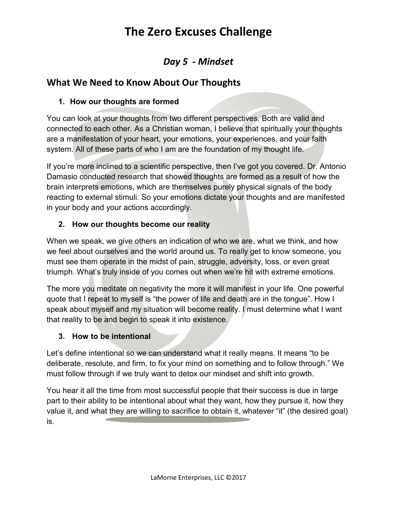## **The Zero Excuses Challenge**

### *Day 5 - Mindset*

### **What We Need to Know About Our Thoughts**

### **1. How our thoughts are formed**

You can look at your thoughts from two different perspectives. Both are valid and connected to each other. As a Christian woman, I believe that spiritually your thoughts are a manifestation of your heart, your emotions, your experiences, and your faith system. All of these parts of who I am are the foundation of my thought life.

If you're more inclined to a scientific perspective, then I've got you covered. Dr. Antonio Damasio conducted research that showed thoughts are formed as a result of how the brain interprets emotions, which are themselves purely physical signals of the body reacting to external stimuli. So your emotions dictate your thoughts and are manifested in your body and your actions accordingly.

### **2. How our thoughts become our reality**

When we speak, we give others an indication of who we are, what we think, and how we feel about ourselves and the world around us. To really get to know someone, you must see them operate in the midst of pain, struggle, adversity, loss, or even great triumph. What's truly inside of you comes out when we're hit with extreme emotions.

The more you meditate on negativity the more it will manifest in your life. One powerful quote that I repeat to myself is "the power of life and death are in the tongue". How I speak about myself and my situation will become reality. I must determine what I want that reality to be and begin to speak it into existence.

### **3. How to be intentional**

Let's define intentional so we can understand what it really means. It means "to be deliberate, resolute, and firm, to fix your mind on something and to follow through." We must follow through if we truly want to detox our mindset and shift into growth.

You hear it all the time from most successful people that their success is due in large part to their ability to be intentional about what they want, how they pursue it, how they value it, and what they are willing to sacrifice to obtain it, whatever "it" (the desired goal) is.